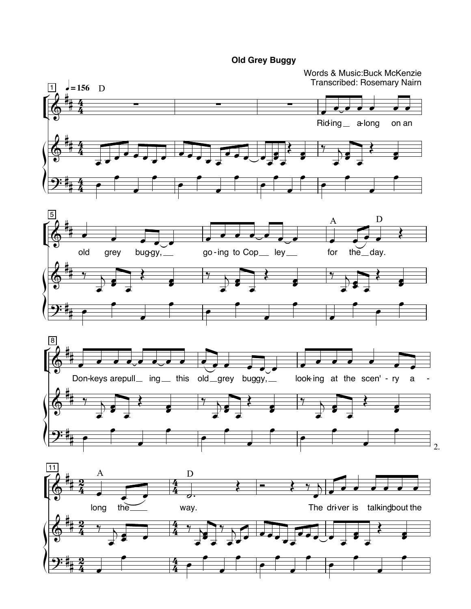## **Old Grey Buggy**

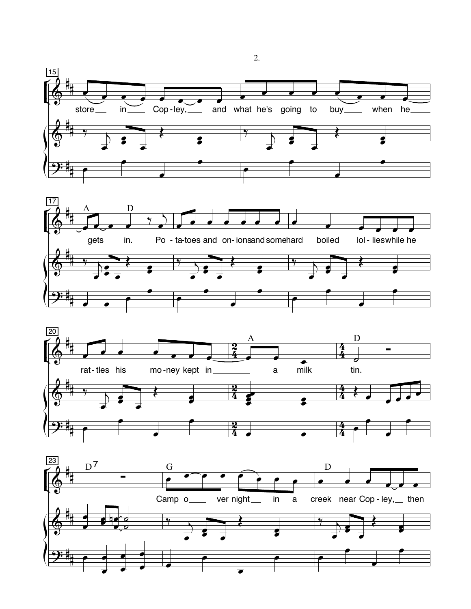







2.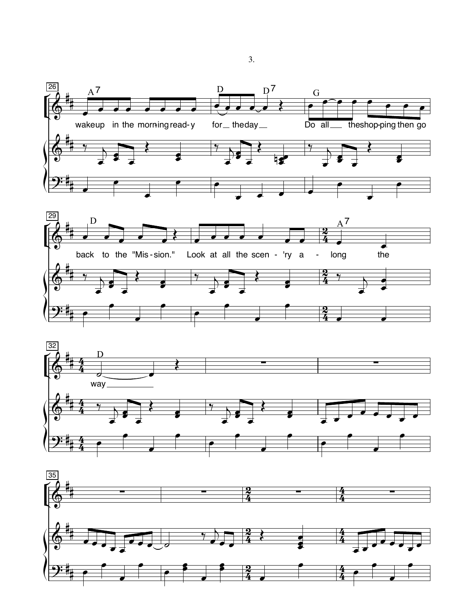





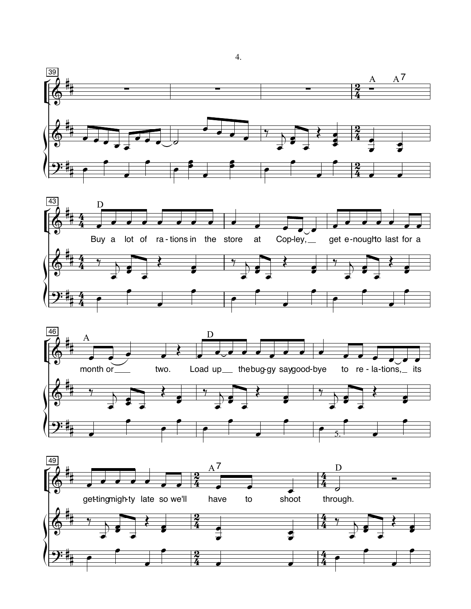







 $\overline{4}$ .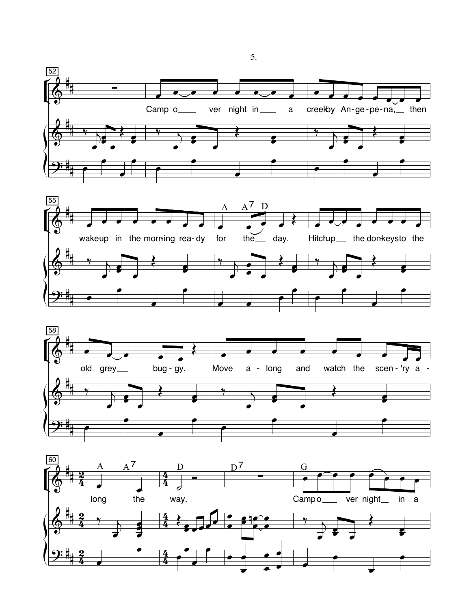







5.